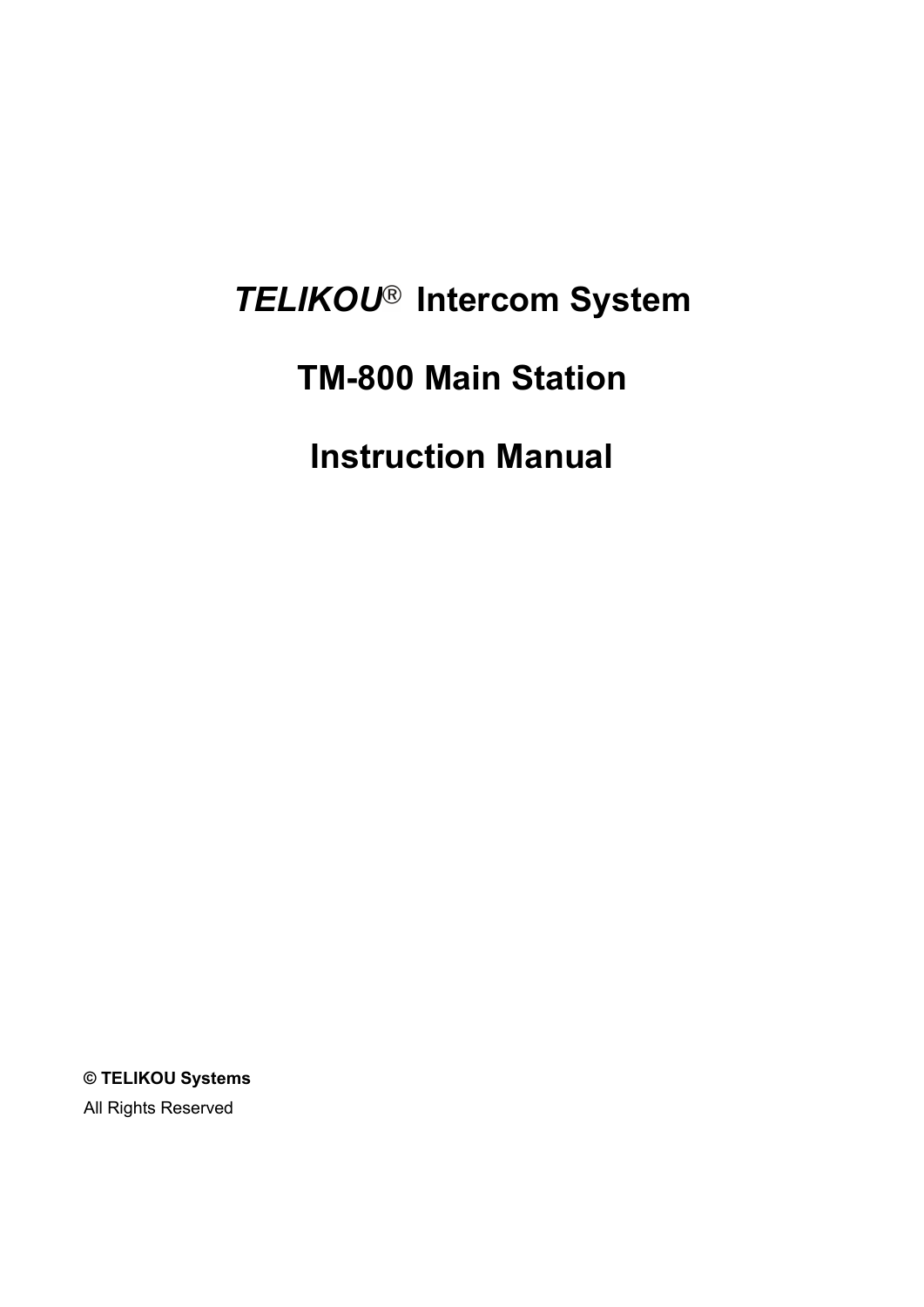# *TELIKOU* **Intercom System**

## **TM-800 Main Station**

**Instruction Manual**

**© TELIKOU Systems** All Rights Reserved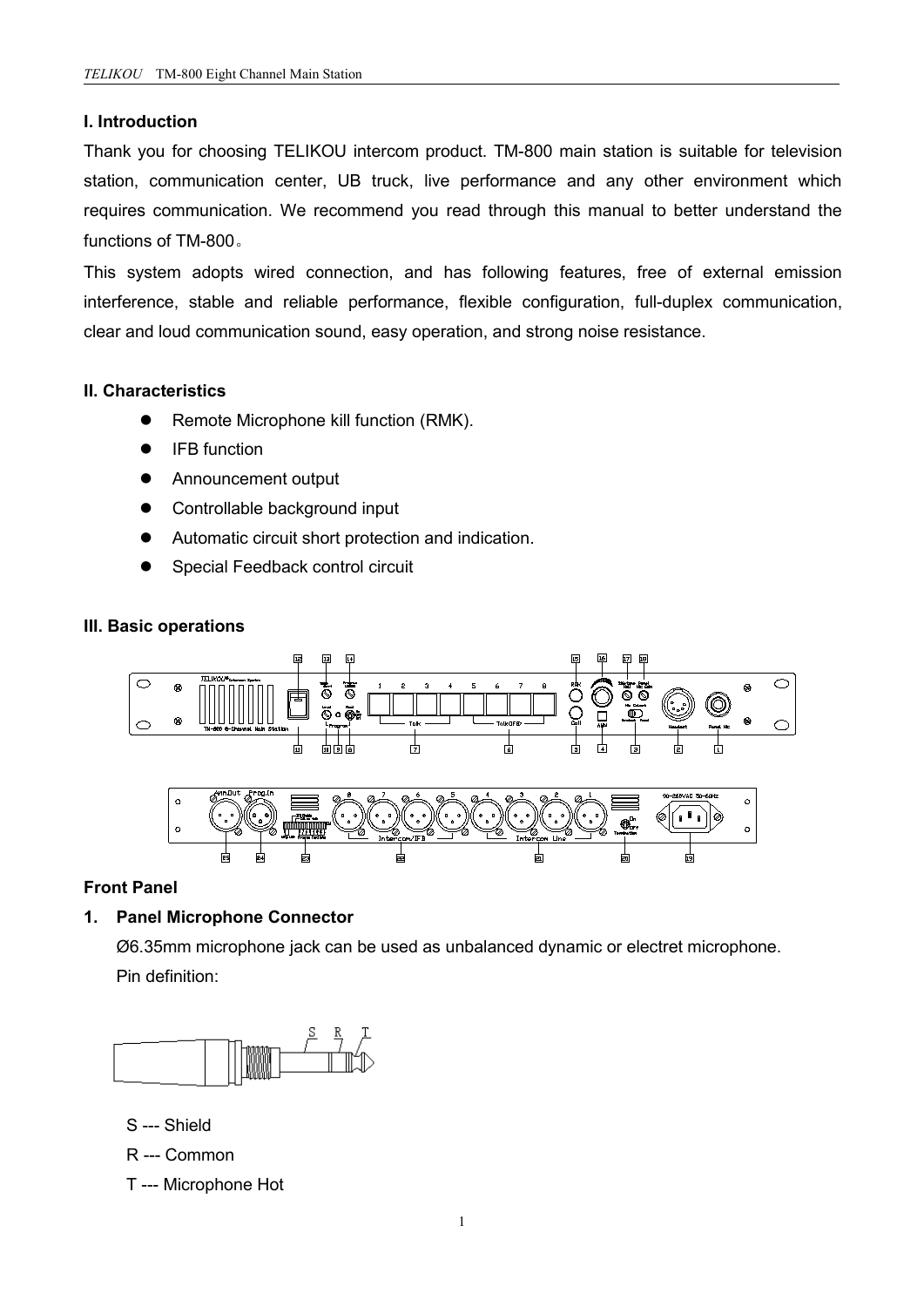## **I. Introduction**

Thank you for choosing TELIKOU intercom product. TM-800 main station issuitable for television station, communication center, UB truck, live performance and any other environment which requires communication. We recommend you read through this manual to better understand the functions of TM-800。

This system adopts wired connection, and has following features, free of external emission interference, stable and reliable performance, flexible configuration, full-duplex communication, clear and loud communication sound, easy operation, and strong noise resistance.

## **II. Characteristics**

- **•** Remote Microphone kill function (RMK).
- IFB function
- **•** Announcement output
- Controllable background input
- Automatic circuit short protection and indication.
- Special Feedback control circuit

## **III. Basic operations**



## **Front Panel**

## **1. Panel Microphone Connector**

Ø6.35mm microphone jack can be used as unbalanced dynamic or electret microphone. Pin definition:



- S --- Shield
- R --- Common
- T --- Microphone Hot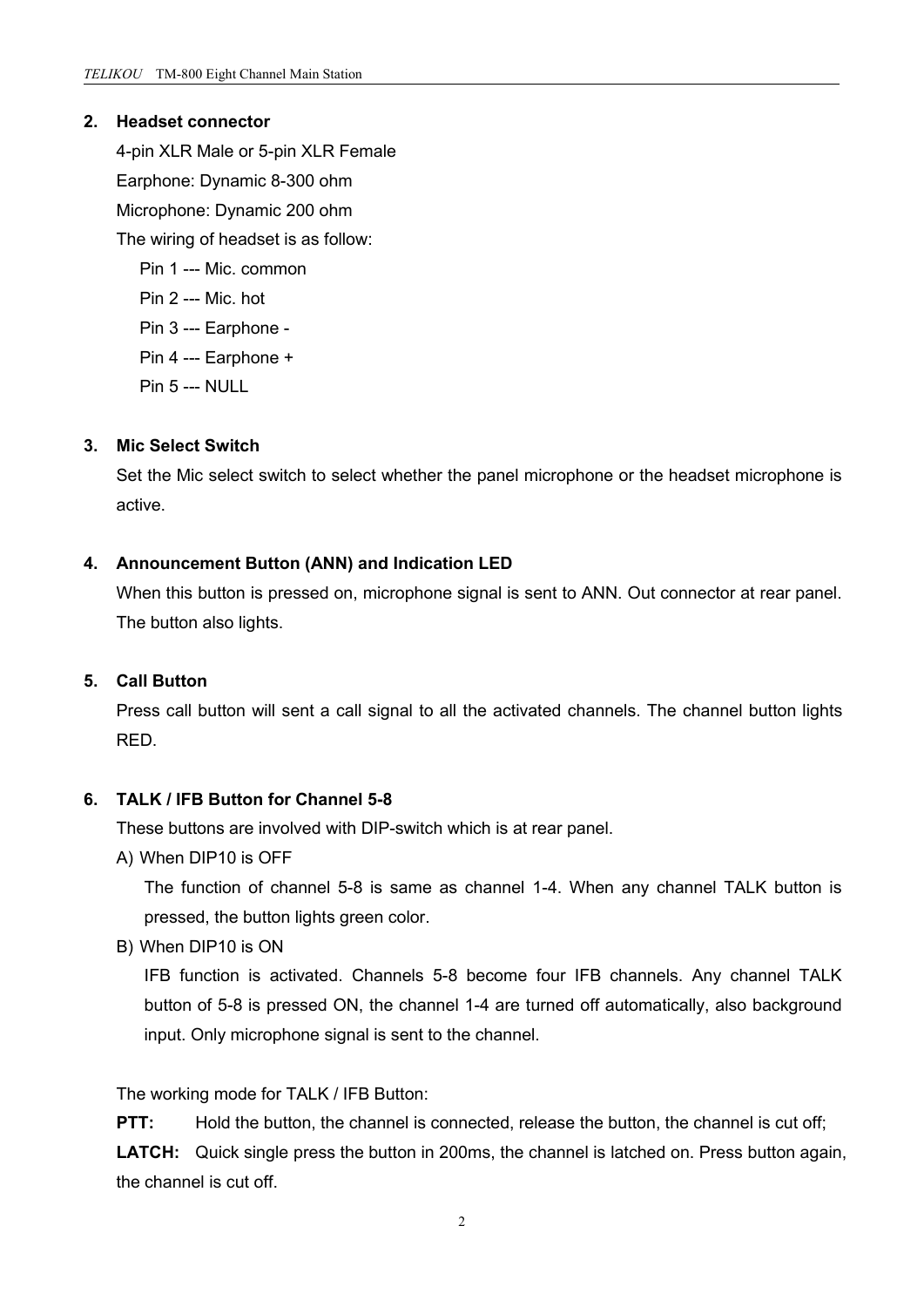## **2. Headset connector**

4-pin XLR Male or 5-pin XLR Female Earphone: Dynamic 8-300 ohm Microphone: Dynamic 200 ohm The wiring of headset is as follow: Pin 1 --- Mic. common Pin 2 --- Mic. hot Pin 3 --- Earphone - Pin 4 --- Earphone + Pin 5 --- NULL

#### **3. Mic Select Switch**

Set the Mic select switch to select whether the panel microphone or the headset microphone is active.

#### **4. Announcement Button (ANN) and Indication LED**

When this button is pressed on, microphone signal is sent to ANN. Out connector at rear panel. The button also lights.

## **5. Call Button**

Press call button will sent a call signal to all the activated channels. The channel button lights RED.

## **6. TALK / IFB Button for Channel 5-8**

These buttons are involved with DIP-switch which is at rear panel.

A) When DIP10 is OFF

The function of channel 5-8 is same as channel 1-4. When any channel TALK button is pressed, the button lights green color.

B) When DIP10 is ON

IFB function is activated. Channels 5-8 become four IFB channels. Any channel TALK button of 5-8 is pressed ON, the channel 1-4 are turned off automatically, also background input. Only microphone signal is sent to the channel.

The working mode for TALK / IFB Button:

**PTT:** Hold the button, the channel is connected, release the button, the channel is cut off; **LATCH:** Quick single press the button in 200ms, the channel is latched on. Press button again, the channel is cut off.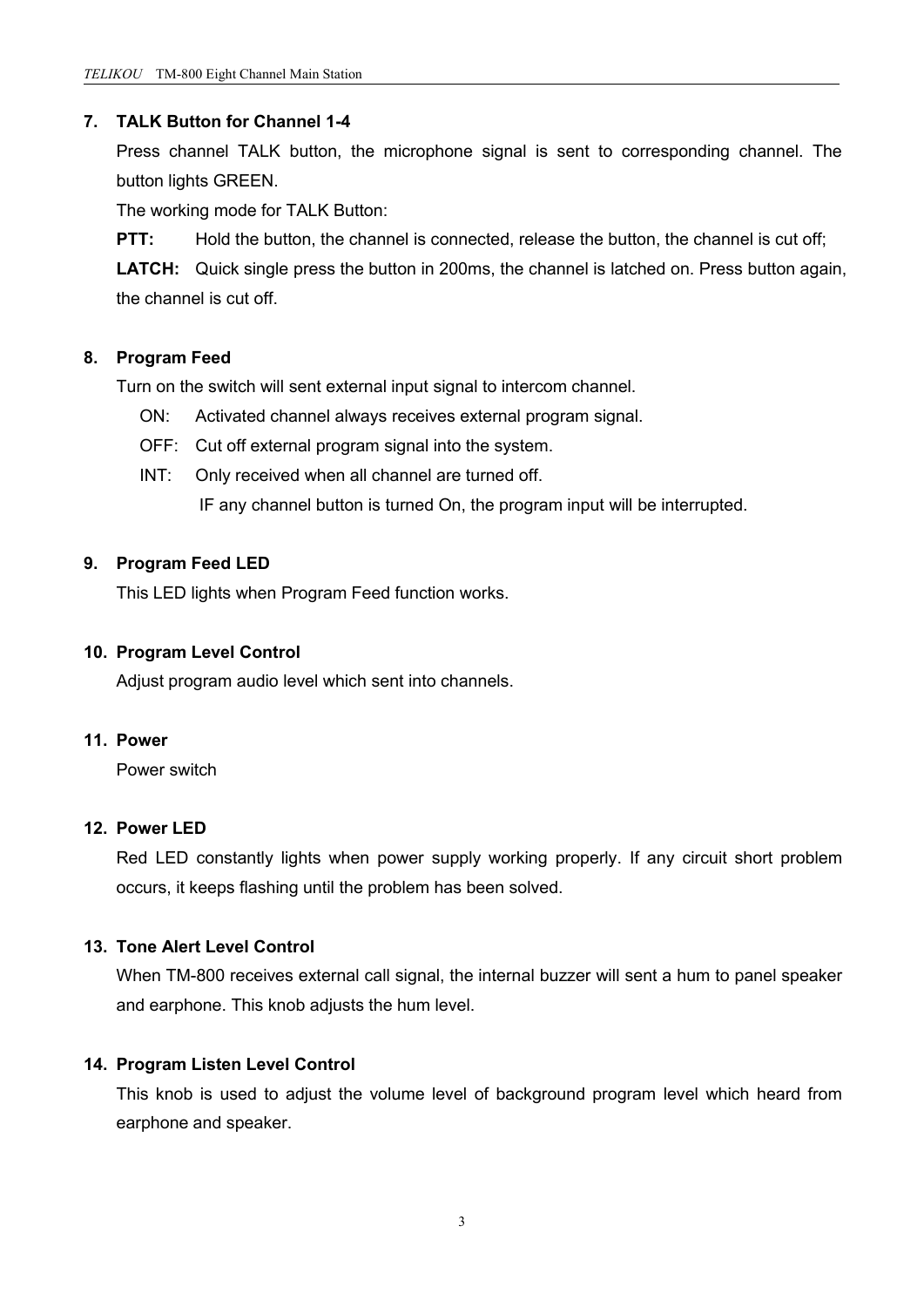## **7. TALK Button for Channel 1-4**

Press channel TALK button, the microphone signal is sent to corresponding channel. The button lights GREEN.

The working mode for TALK Button:

**PTT:** Hold the button, the channel is connected, release the button, the channel is cut off;

**LATCH:** Quick single press the button in 200ms, the channel is latched on. Press button again, the channel is cut off.

## **8. Program Feed**

Turn on the switch will sent external input signal to intercom channel.

- ON: Activated channel always receives external program signal.
- OFF: Cut off external program signal into the system.
- INT: Only received when all channel are turned off.

IF any channel button is turned On, the program input will be interrupted.

## **9. Program Feed LED**

This LED lights when Program Feed function works.

#### **10. Program Level Control**

Adjust program audio level which sent into channels.

#### **11. Power**

Power switch

## **12. Power LED**

Red LED constantly lights when power supply working properly. If any circuit short problem occurs, it keeps flashing until the problem has been solved.

## **13. Tone Alert Level Control**

When TM-800 receives external call signal, the internal buzzer will sent a hum to panel speaker and earphone. This knob adjusts the hum level.

## **14. Program Listen Level Control**

This knob is used to adjust the volume level of background program level which heard from earphone and speaker.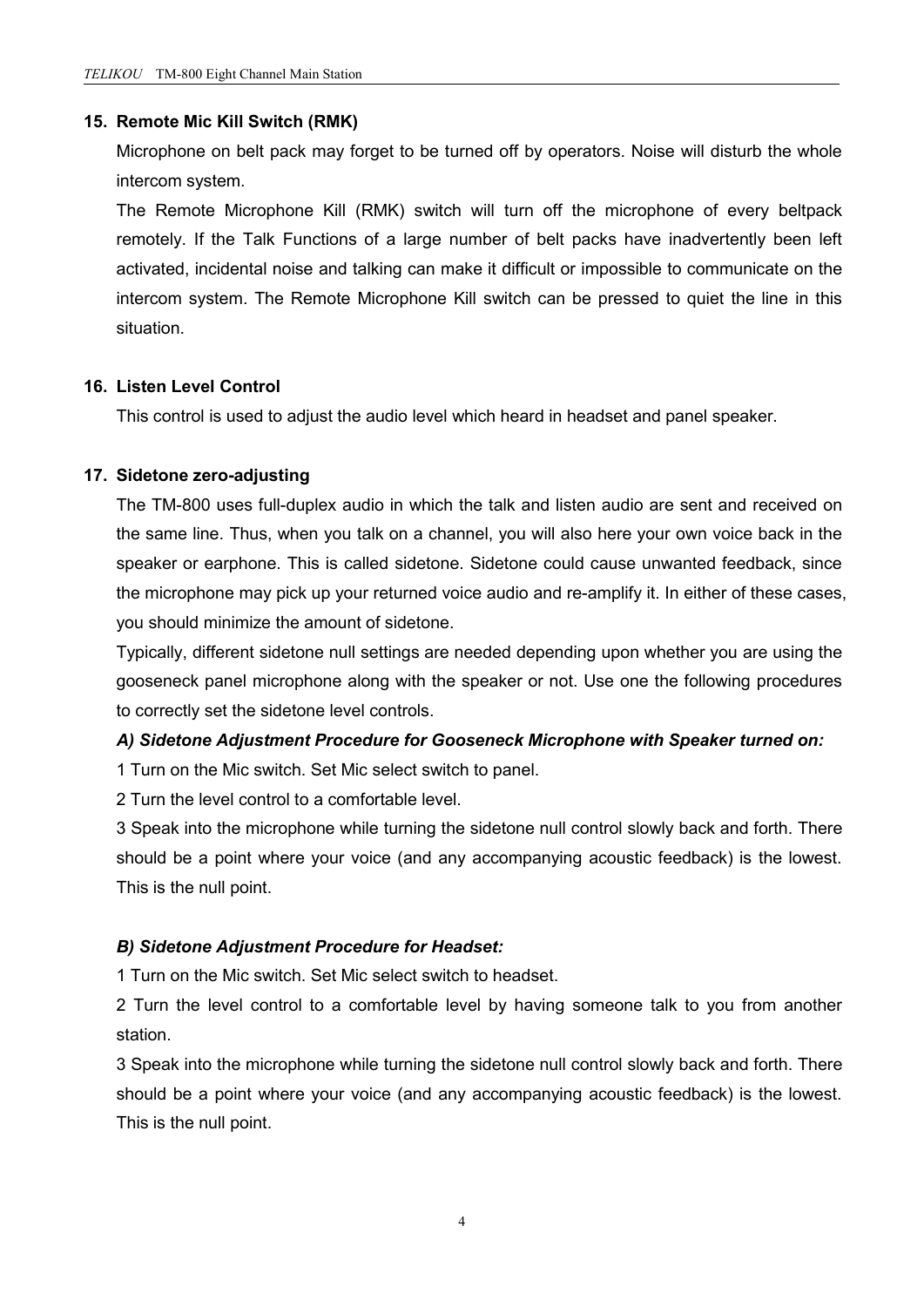#### **15. Remote Mic Kill Switch (RMK)**

Microphone on belt pack may forget to be turned off by operators. Noise will disturb the whole intercom system.

The Remote Microphone Kill (RMK) switch will turn off the microphone of every beltpack remotely. If the Talk Functions of a large number of belt packs have inadvertently been left activated, incidental noise and talking can make it difficult or impossible to communicate on the intercom system. The Remote Microphone Kill switch can be pressed to quiet the line in this situation.

## **16. Listen Level Control**

This control is used to adjust the audio level which heard in headset and panel speaker.

#### **17. Sidetone zero-adjusting**

The TM-800 uses full-duplex audio in which the talk and listen audio are sent and received on the same line. Thus, when you talk on a channel, you will also here your own voice back in the speaker or earphone. This is called sidetone. Sidetone could cause unwanted feedback, since the microphone may pick up your returned voice audio and re-amplify it. In either of these cases, you should minimize the amount of sidetone.

Typically, different sidetone null settings are needed depending upon whether you are using the gooseneck panel microphone along with the speaker or not. Use one the following procedures to correctly set the sidetone level controls.

## *A) Sidetone Adjustment Procedure for Gooseneck Microphone with Speaker turned on:*

1 Turn on the Mic switch. Set Mic select switch to panel.

2 Turn the level control to a comfortable level.

3 Speak into the microphone while turning the sidetone null control slowly back and forth. There should be a point where your voice (and any accompanying acoustic feedback) is the lowest. This is the null point.

## *B) Sidetone Adjustment Procedure for Headset:*

1 Turn on the Mic switch. Set Mic select switch to headset.

2 Turn the level control to a comfortable level by having someone talk to you from another station.

3 Speak into the microphone while turning the sidetone null control slowly back and forth. There should be a point where your voice (and any accompanying acoustic feedback) is the lowest. This is the null point.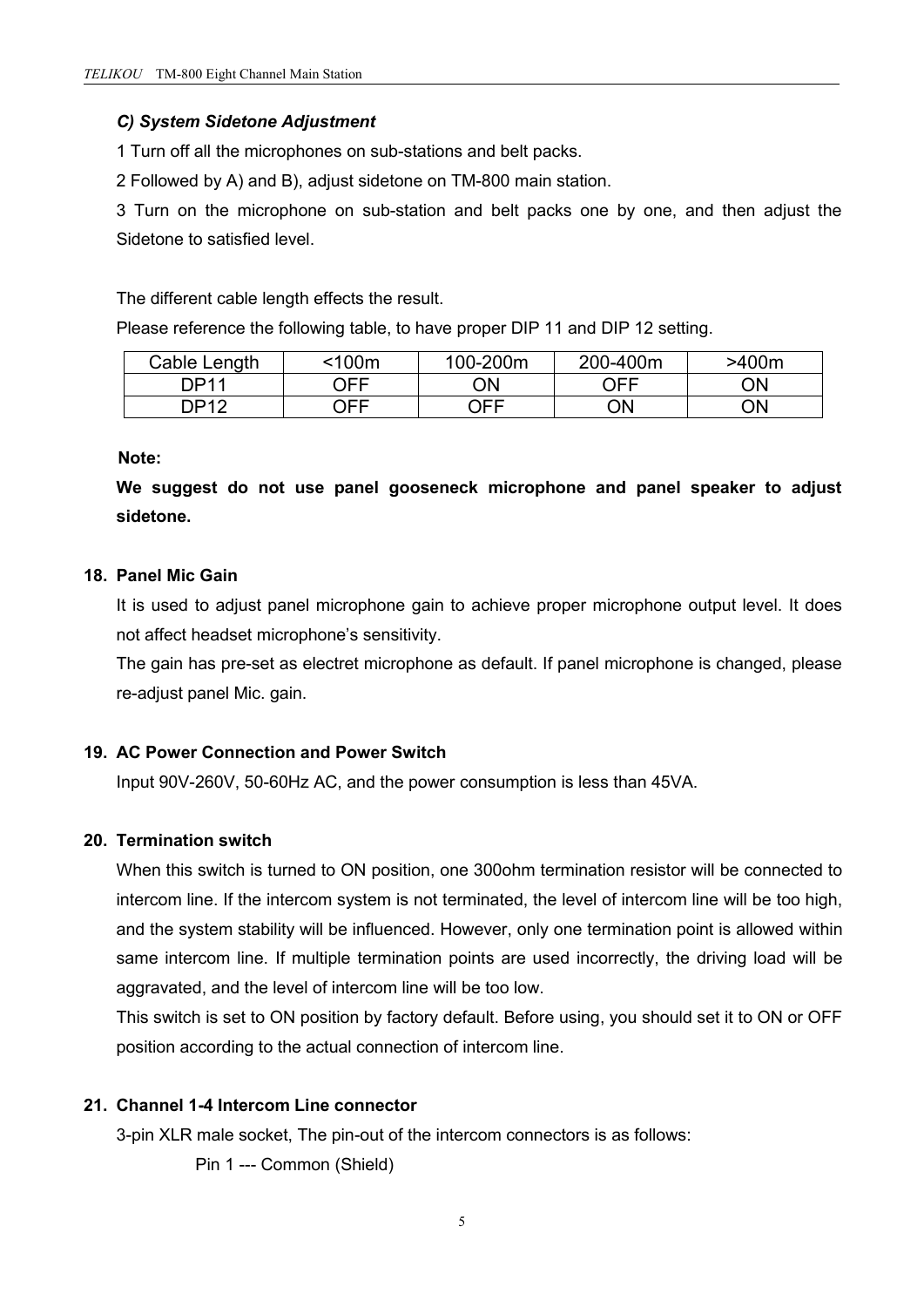## *C) System Sidetone Adjustment*

1 Turn off all the microphones on sub-stations and belt packs.

2 Followed by A) and B), adjust sidetone on TM-800 main station.

3 Turn on the microphone on sub-station and belt packs one by one, and then adjust the Sidetone to satisfied level.

The different cable length effects the result.

Please reference the following table, to have proper DIP 11 and DIP 12 setting.

| Cable Length       | <100m | 100-200m | 200-400m | >400m |
|--------------------|-------|----------|----------|-------|
| DD11               | OFF   | ON       | OFF<br>້ | ΟN    |
| DD12<br>َ ب<br>. . | OFF   | OFF      | ON       | ΟN    |

## **Note:**

**We suggest do not use panel gooseneck microphone and panel speaker to adjust sidetone.**

## **18. Panel Mic Gain**

It is used to adjust panel microphone gain to achieve proper microphone output level. It does not affect headset microphone's sensitivity.

The gain has pre-set as electret microphone as default. If panel microphone is changed, please re-adjust panel Mic. gain.

## **19. AC Power Connection and Power Switch**

Input 90V-260V, 50-60Hz AC, and the power consumption isless than 45VA.

## **20. Termination switch**

When this switch is turned to ON position, one 300ohm termination resistor will be connected to intercom line. If the intercom system is not terminated, the level of intercom line will be too high, and the system stability will be influenced. However, only one termination point is allowed within same intercom line. If multiple termination points are used incorrectly, the driving load will be aggravated, and the level of intercom line will be too low.

This switch is set to ON position by factory default. Before using, you should set it to ON or OFF position according to the actual connection of intercom line.

## **21. Channel 1-4 Intercom Line connector**

3-pin XLR male socket, The pin-out of the intercom connectors is as follows:

Pin 1 --- Common (Shield)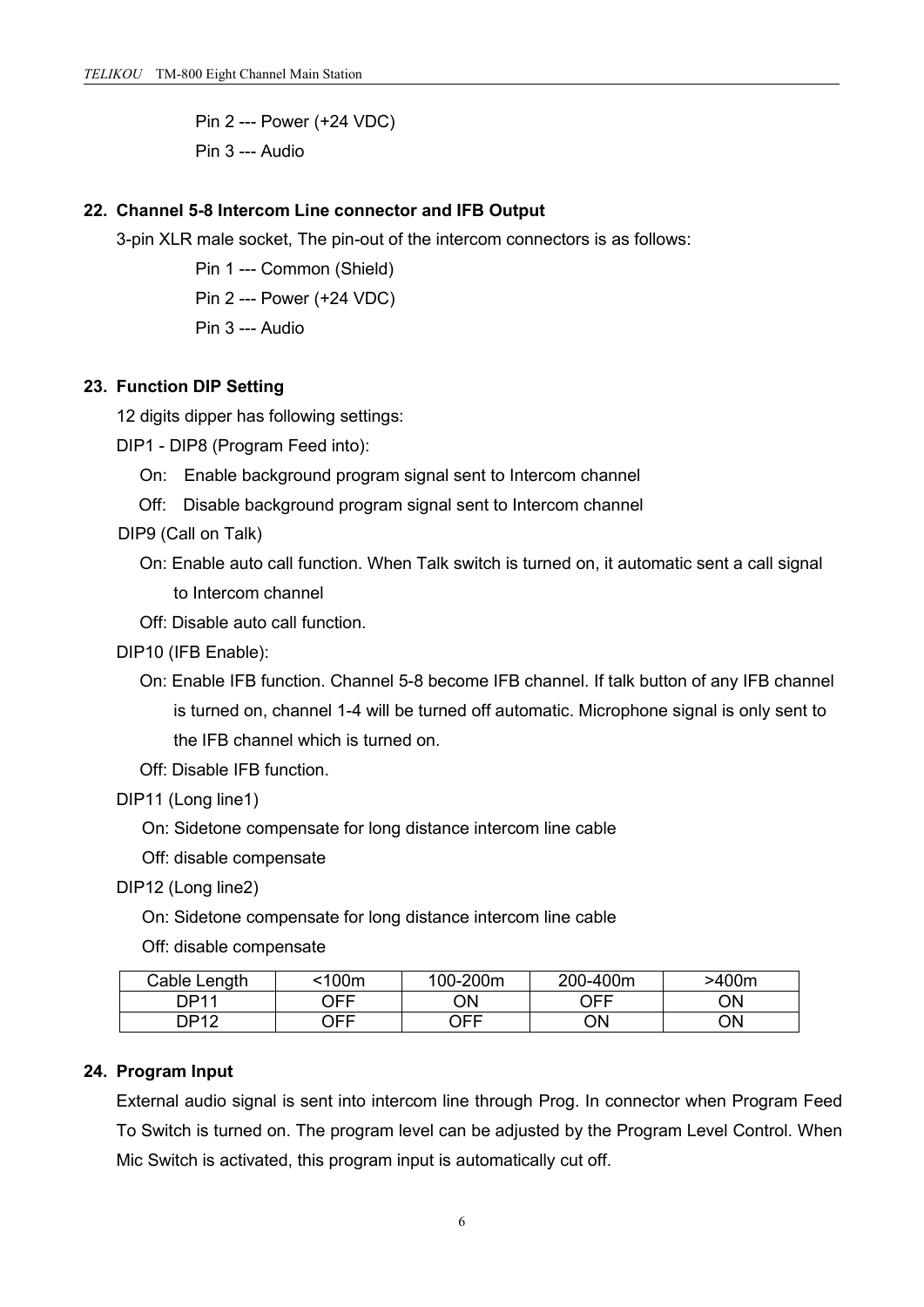Pin 2 --- Power (+24 VDC) Pin 3 --- Audio

#### **22. Channel 5-8 Intercom Line connector and IFB Output**

3-pin XLR male socket, The pin-out of the intercom connectors is as follows:

Pin 1 --- Common (Shield) Pin 2 --- Power (+24 VDC) Pin 3 --- Audio

#### **23. Function DIP Setting**

12 digits dipper has following settings:

DIP1 - DIP8 (Program Feed into):

- On: Enable background program signal sent to Intercom channel
- Off: Disable background program signal sent to Intercom channel

DIP9 (Call on Talk)

- On: Enable auto call function. When Talk switch is turned on, it automatic sent a call signal to Intercom channel
- Off: Disable auto call function.
- DIP10 (IFB Enable):
	- On: Enable IFB function. Channel 5-8 become IFB channel. If talk button of any IFB channel is turned on, channel 1-4 will be turned off automatic. Microphone signal is only sent to the IFB channel which is turned on.
	- Off: Disable IFB function.
- DIP11 (Long line1)
	- On: Sidetone compensate for long distance intercom line cable
	- Off: disable compensate
- DIP12 (Long line2)
	- On: Sidetone compensate for long distance intercom line cable
	- Off: disable compensate

| Jable'<br>Lenath | $\Omega$ 100m | 100-200m | -400m<br>$200 -$ | >400m |
|------------------|---------------|----------|------------------|-------|
| <b>DP11</b>      | OFF           | ΟN       | <b>OFF</b>       | ΟN    |
| <b>DP12</b>      | ∩FF           | OFF      | ΟN               | ΟN    |

#### **24. Program Input**

External audio signal is sent into intercom line through Prog. In connector when Program Feed To Switch is turned on. The program level can be adjusted by the Program Level Control. When Mic Switch is activated, this program input is automatically cut off.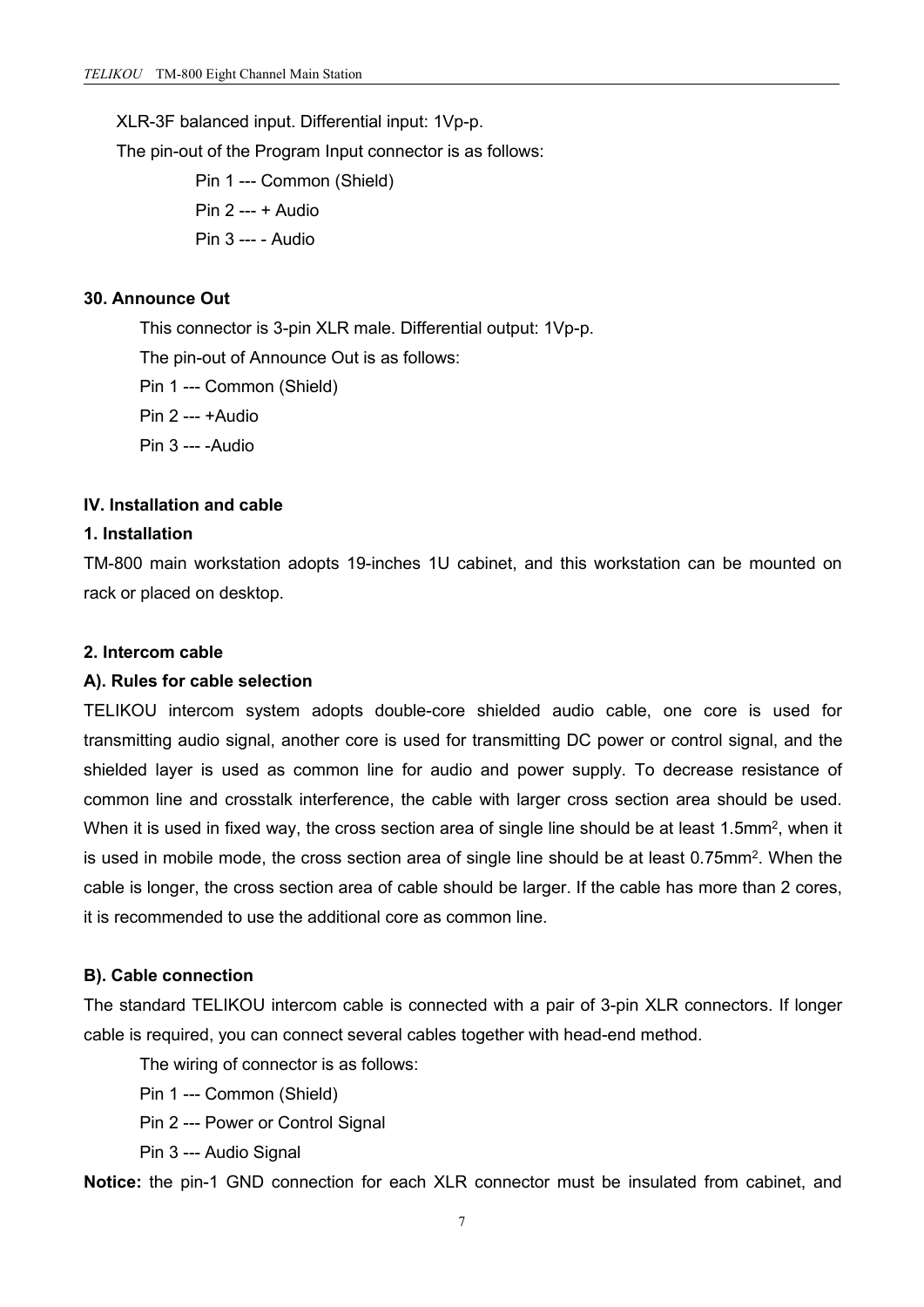XLR-3F balanced input. Differential input: 1Vp-p.

The pin-out of the Program Input connector is as follows:

Pin 1 --- Common (Shield) Pin 2 --- + Audio Pin 3 --- - Audio

## **30. Announce Out**

This connector is 3-pin XLR male. Differential output: 1Vp-p. The pin-out of Announce Out is as follows: Pin 1 --- Common (Shield) Pin 2 --- +Audio Pin 3 --- -Audio

## **IV. Installation and cable**

#### **1. Installation**

TM-800 main workstation adopts 19-inches 1U cabinet, and this workstation can be mounted on rack or placed on desktop.

#### **2. Intercom cable**

#### **A). Rules for cable selection**

TELIKOU intercom system adopts double-core shielded audio cable, one core is used for transmitting audio signal, another core is used for transmitting DC power or control signal, and the shielded layer is used as common line for audio and power supply. To decrease resistance of common line and crosstalk interference, the cable with larger cross section area should be used. When it is used in fixed way, the cross section area of single line should be at least 1.5mm², when it is used in mobile mode, the cross section area of single line should be at least 0.75mm². When the cable islonger, the cross section area of cable should be larger. If the cable has more than 2 cores, it is recommended to use the additional core as common line.

#### **B). Cable connection**

The standard TELIKOU intercom cable is connected with a pair of 3-pin XLR connectors. If longer cable is required, you can connect several cables together with head-end method.

The wiring of connector is as follows:

Pin 1 --- Common (Shield)

Pin 2 --- Power or Control Signal

Pin 3 --- Audio Signal

**Notice:** the pin-1 GND connection for each XLR connector must be insulated from cabinet, and

7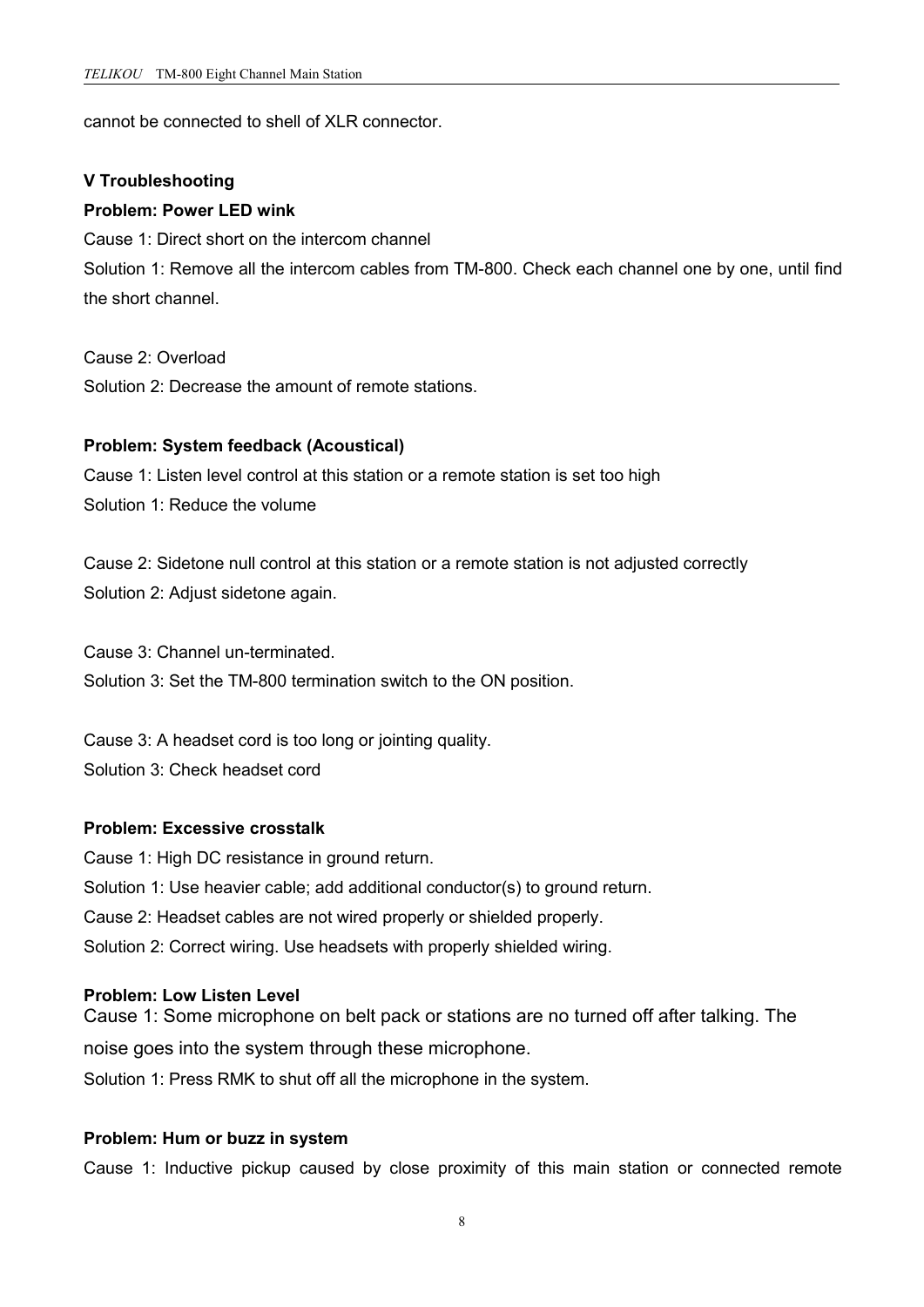cannot be connected to shell of XLR connector.

#### **V Troubleshooting**

#### **Problem: Power LED wink**

Cause 1: Direct short on the intercom channel Solution 1: Remove all the intercom cables from TM-800. Check each channel one by one, until find the short channel.

Cause 2: Overload

Solution 2: Decrease the amount of remote stations.

#### **Problem: System feedback (Acoustical)**

Cause 1: Listen level control at this station or a remote station is set too high Solution 1: Reduce the volume

Cause 2: Sidetone null control at this station or a remote station is not adjusted correctly Solution 2: Adjust sidetone again.

Cause 3: Channel un-terminated. Solution 3: Set the TM-800 termination switch to the ON position.

Cause 3: A headset cord is too long or jointing quality. Solution 3: Check headset cord

## **Problem: Excessive crosstalk**

Cause 1: High DC resistance in ground return. Solution 1: Use heavier cable; add additional conductor(s) to ground return. Cause 2: Headset cables are not wired properly or shielded properly. Solution 2: Correct wiring. Use headsets with properly shielded wiring.

#### **Problem: Low Listen Level**

Cause 1: Some microphone on belt pack or stations are no turned off after talking. The noise goes into the system through these microphone. Solution 1: Press RMK to shut off all the microphone in the system.

## **Problem: Hum or buzz in system**

Cause 1: Inductive pickup caused by close proximity of this main station or connected remote